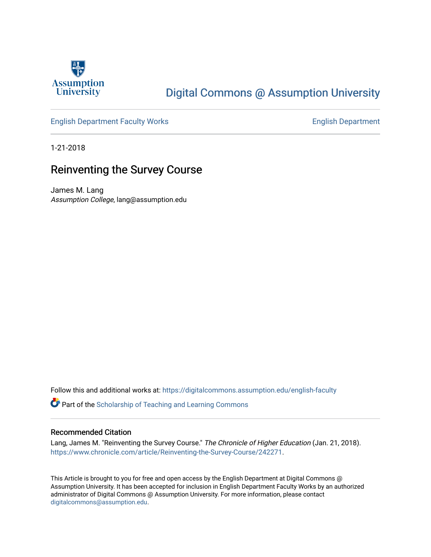

# [Digital Commons @ Assumption University](https://digitalcommons.assumption.edu/)

## [English Department Faculty Works](https://digitalcommons.assumption.edu/english-faculty) **English Department**

1-21-2018

## Reinventing the Survey Course

James M. Lang Assumption College, lang@assumption.edu

Follow this and additional works at: [https://digitalcommons.assumption.edu/english-faculty](https://digitalcommons.assumption.edu/english-faculty?utm_source=digitalcommons.assumption.edu%2Fenglish-faculty%2F23&utm_medium=PDF&utm_campaign=PDFCoverPages) 

**P** Part of the Scholarship of Teaching and Learning Commons

#### Recommended Citation

Lang, James M. "Reinventing the Survey Course." The Chronicle of Higher Education (Jan. 21, 2018). <https://www.chronicle.com/article/Reinventing-the-Survey-Course/242271>.

This Article is brought to you for free and open access by the English Department at Digital Commons @ Assumption University. It has been accepted for inclusion in English Department Faculty Works by an authorized administrator of Digital Commons @ Assumption University. For more information, please contact [digitalcommons@assumption.edu](mailto:digitalcommons@assumption.edu).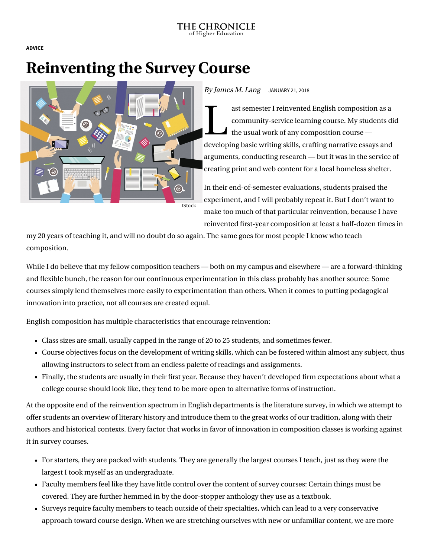**[ADVICE](https://www.chronicle.com/section/Advice/66)**

# **Reinventing the Survey Course**



#### By James M. Lang  $\vert$  JANUARY 21, 2018

ast se ast semester I reinvented English composition as a community-service learning course. My students did  $\blacksquare$  the usual work of any composition course developing basic writing skills, crafting narrative essays and arguments, conducting research — but it was in the service of creating print and web content for a local homeless shelter.

In their end-of-semester evaluations, students praised the experiment, and I will probably repeat it. But I don't want to make too much of that particular reinvention, because I have reinvented first-year composition at least a half-dozen times in

my 20 years of teaching it, and will no doubt do so again. The same goes for most people I know who teach composition.

While I do believe that my fellow composition teachers — both on my campus and elsewhere — are a forward-thinking and flexible bunch, the reason for our continuous experimentation in this class probably has another source: Some courses simply lend themselves more easily to experimentation than others. When it comes to putting pedagogical innovation into practice, not all courses are created equal.

English composition has multiple characteristics that encourage reinvention:

- Class sizes are small, usually capped in the range of 20 to 25 students, and sometimes fewer.
- Course objectives focus on the development of writing skills, which can be fostered within almost any subject, thus allowing instructors to select from an endless palette of readings and assignments.
- Finally, the students are usually in their first year. Because they haven't developed firm expectations about what a college course should look like, they tend to be more open to alternative forms of instruction.

At the opposite end of the reinvention spectrum in English departments is the literature survey, in which we attempt to offer students an overview of literary history and introduce them to the great works of our tradition, along with their authors and historical contexts. Every factor that works in favor of innovation in composition classes is working against it in survey courses.

- For starters, they are packed with students. They are generally the largest courses I teach, just as they were the largest I took myself as an undergraduate.
- Faculty members feel like they have little control over the content of survey courses: Certain things must be covered. They are further hemmed in by the door-stopper anthology they use as a textbook.
- Surveys require faculty members to teach outside of their specialties, which can lead to a very conservative approach toward course design. When we are stretching ourselves with new or unfamiliar content, we are more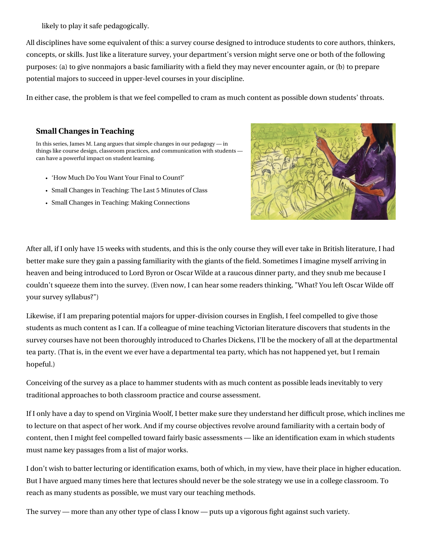likely to play it safe pedagogically.

All disciplines have some equivalent of this: a survey course designed to introduce students to core authors, thinkers, concepts, or skills. Just like a literature survey, your department's version might serve one or both of the following purposes: (a) to give nonmajors a basic familiarity with a field they may never encounter again, or (b) to prepare potential majors to succeed in upper-level courses in your discipline.

In either case, the problem is that we feel compelled to cram as much content as possible down students' throats.

## **[Small Changes in Teaching](https://www.chronicle.com/specialreport/Small-Changes-in-Teaching/44?cid=RCPACKAGE)**

In this series, James M. Lang argues that simple changes in our pedagogy — in things like course design, classroom practices, and communication with students can have a powerful impact on student learning.

- ['How Much Do You Want Your Final to Count?'](https://www.chronicle.com/article/How-Much-Do-You-Want-Your/242802?cid=RCPACKAGE)
- [Small Changes in Teaching: The Last 5 Minutes of Class](https://www.chronicle.com/article/Small-Changes-in-Teaching-The/235583?cid=RCPACKAGE)
- [Small Changes in Teaching: Making Connections](https://www.chronicle.com/article/Small-Changes-in-Teaching-/235230?cid=RCPACKAGE)



After all, if I only have 15 weeks with students, and this is the only course they will ever take in British literature, I had better make sure they gain a passing familiarity with the giants of the field. Sometimes I imagine myself arriving in heaven and being introduced to Lord Byron or Oscar Wilde at a raucous dinner party, and they snub me because I couldn't squeeze them into the survey. (Even now, I can hear some readers thinking, "What? You left Oscar Wilde off your survey syllabus?")

Likewise, if I am preparing potential majors for upper-division courses in English, I feel compelled to give those students as much content as I can. If a colleague of mine teaching Victorian literature discovers that students in the survey courses have not been thoroughly introduced to Charles Dickens, I'll be the mockery of all at the departmental tea party. (That is, in the event we ever have a departmental tea party, which has not happened yet, but I remain hopeful.)

Conceiving of the survey as a place to hammer students with as much content as possible leads inevitably to very traditional approaches to both classroom practice and course assessment.

If I only have a day to spend on Virginia Woolf, I better make sure they understand her difficult prose, which inclines me to lecture on that aspect of her work. And if my course objectives revolve around familiarity with a certain body of content, then I might feel compelled toward fairly basic assessments — like an identification exam in which students must name key passages from a list of major works.

I don't wish to batter lecturing or identification exams, both of which, in my view, have their place in higher education. But I have [argued](https://www.chronicle.com/article/Stop-Blaming-Students-for-Your/149067) many times here that lectures should never be the sole strategy we use in a college classroom. To reach as many students as possible, we must vary our teaching methods.

The survey — more than any other type of class I know — puts up a vigorous fight against such variety.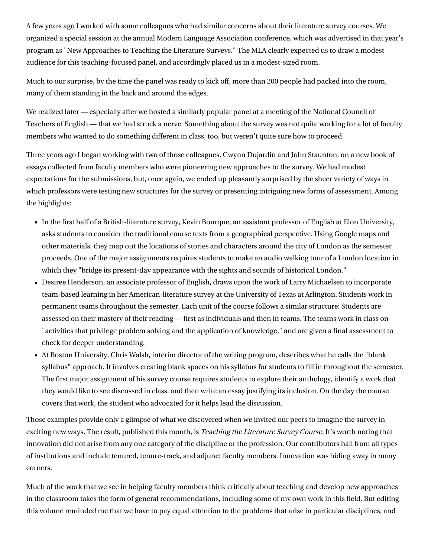A few years ago I worked with some colleagues who had similar concerns about their literature survey courses. We organized a special session at the annual Modern Language Association conference, which was advertised in that year's program as "New Approaches to Teaching the Literature Surveys." The MLA clearly expected us to draw a modest audience for this teaching-focused panel, and accordingly placed us in a modest-sized room.

Much to our surprise, by the time the panel was ready to kick off, more than 200 people had packed into the room, many of them standing in the back and around the edges.

We realized later — especially after we hosted a similarly popular panel at a meeting of the National Council of Teachers of English — that we had struck a nerve. Something about the survey was not quite working for a lot of faculty members who wanted to do something different in class, too, but weren't quite sure how to proceed.

Three years ago I began working with two of those colleagues, Gwynn Dujardin and John Staunton, on a new book of essays collected from faculty members who were pioneering new approaches to the survey. We had modest expectations for the submissions, but, once again, we ended up pleasantly surprised by the sheer variety of ways in which professors were testing new structures for the survey or presenting intriguing new forms of assessment. Among the highlights:

- In the first half of a British-literature survey, Kevin Bourque, an assistant professor of English at Elon University, asks students to consider the traditional course texts from a geographical perspective. Using Google maps and other materials, they map out the locations of stories and characters around the city of London as the semester proceeds. One of the major assignments requires students to make an audio walking tour of a London location in which they "bridge its present-day appearance with the sights and sounds of historical London."
- Desiree Henderson, an associate professor of English, draws upon the work of Larry Michaelsen to incorporate [team-based learning](http://team-based%20learning/) in her American-literature survey at the University of Texas at Arlington. Students work in permanent teams throughout the semester. Each unit of the course follows a similar structure: Students are assessed on their mastery of their reading — first as individuals and then in teams. The teams work in class on "activities that privilege problem solving and the application of knowledge," and are given a final assessment to check for deeper understanding.
- At Boston University, Chris Walsh, interim director of the writing program, describes what he calls the "blank [syllabus" approach. It involves creating blank spaces on his syllabus for students to fill in throughout the seme](https://www.chronicle.com/article/Small-Changes-in-Teaching-/235918)ster. The first major assignment of his survey course requires students to explore their anthology, identify a work that they would like to see discussed in class, and then write an essay justifying its inclusion. On the day the course covers that work, the student who advocated for it helps lead the discussion.

Those examples provide only a glimpse of what we discovered when we invited our peers to imagine the survey in exciting new ways. The result, [published this month,](http://wvupressonline.com/node/716) is Teaching the Literature Survey Course. It's worth noting that innovation did not arise from any one category of the discipline or the profession. Our contributors hail from all types of institutions and include tenured, tenure-track, and adjunct faculty members. Innovation was hiding away in many corners.

Much of the work that we see in helping faculty members think critically about teaching and develop new approaches in the classroom takes the form of general recommendations, including some of my own work in this field. But editing this volume reminded me that we have to pay equal attention to the problems that arise in particular disciplines, and